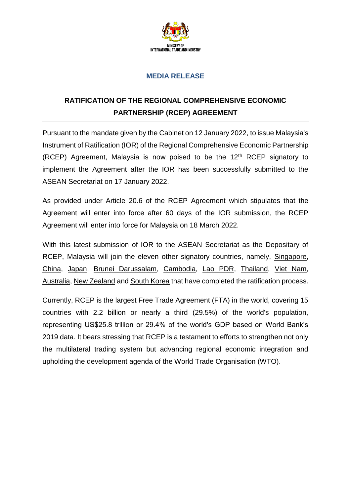

### **MEDIA RELEASE**

# **RATIFICATION OF THE REGIONAL COMPREHENSIVE ECONOMIC PARTNERSHIP (RCEP) AGREEMENT**

Pursuant to the mandate given by the Cabinet on 12 January 2022, to issue Malaysia's Instrument of Ratification (IOR) of the Regional Comprehensive Economic Partnership (RCEP) Agreement, Malaysia is now poised to be the  $12<sup>th</sup>$  RCEP signatory to implement the Agreement after the IOR has been successfully submitted to the ASEAN Secretariat on 17 January 2022.

As provided under Article 20.6 of the RCEP Agreement which stipulates that the Agreement will enter into force after 60 days of the IOR submission, the RCEP Agreement will enter into force for Malaysia on 18 March 2022.

With this latest submission of IOR to the ASEAN Secretariat as the Depositary of RCEP, Malaysia will join the eleven other signatory countries, namely, Singapore, China, Japan, Brunei Darussalam, Cambodia, Lao PDR, Thailand, Viet Nam, Australia, New Zealand and South Korea that have completed the ratification process.

Currently, RCEP is the largest Free Trade Agreement (FTA) in the world, covering 15 countries with 2.2 billion or nearly a third (29.5%) of the world's population, representing US\$25.8 trillion or 29.4% of the world's GDP based on World Bank's 2019 data. It bears stressing that RCEP is a testament to efforts to strengthen not only the multilateral trading system but advancing regional economic integration and upholding the development agenda of the World Trade Organisation (WTO).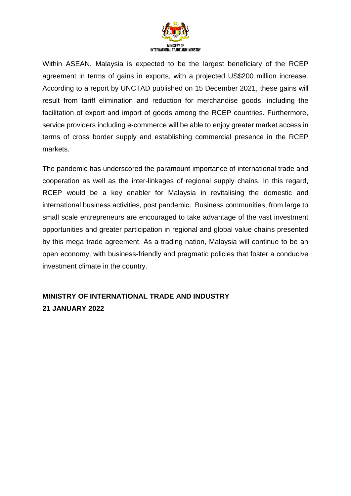

Within ASEAN, Malaysia is expected to be the largest beneficiary of the RCEP agreement in terms of gains in exports, with a projected US\$200 million increase. According to a report by UNCTAD published on 15 December 2021, these gains will result from tariff elimination and reduction for merchandise goods, including the facilitation of export and import of goods among the RCEP countries. Furthermore, service providers including e-commerce will be able to enjoy greater market access in terms of cross border supply and establishing commercial presence in the RCEP markets.

The pandemic has underscored the paramount importance of international trade and cooperation as well as the inter-linkages of regional supply chains. In this regard, RCEP would be a key enabler for Malaysia in revitalising the domestic and international business activities, post pandemic. Business communities, from large to small scale entrepreneurs are encouraged to take advantage of the vast investment opportunities and greater participation in regional and global value chains presented by this mega trade agreement. As a trading nation, Malaysia will continue to be an open economy, with business-friendly and pragmatic policies that foster a conducive investment climate in the country.

## **MINISTRY OF INTERNATIONAL TRADE AND INDUSTRY 21 JANUARY 2022**